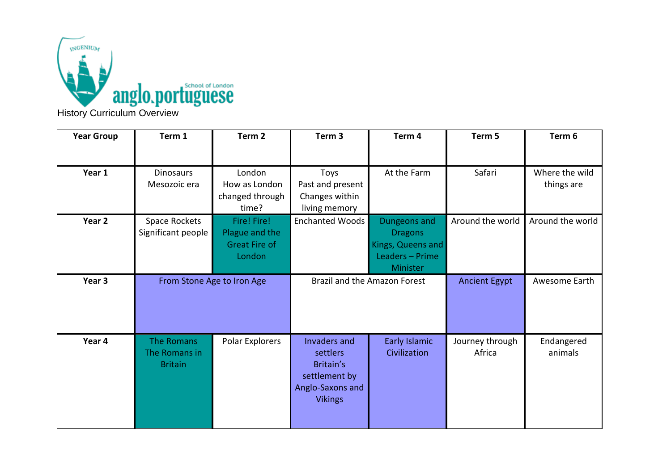

| <b>Year Group</b> | Term 1                                               | Term <sub>2</sub>                                               | Term <sub>3</sub>                                                                            | Term 4                                                                             | Term <sub>5</sub>         | Term 6                       |
|-------------------|------------------------------------------------------|-----------------------------------------------------------------|----------------------------------------------------------------------------------------------|------------------------------------------------------------------------------------|---------------------------|------------------------------|
|                   |                                                      |                                                                 |                                                                                              |                                                                                    |                           |                              |
| Year 1            | <b>Dinosaurs</b><br>Mesozoic era                     | London<br>How as London<br>changed through<br>time?             | Toys<br>Past and present<br>Changes within<br>living memory                                  | At the Farm                                                                        | Safari                    | Where the wild<br>things are |
| Year 2            | Space Rockets<br>Significant people                  | Fire! Fire!<br>Plague and the<br><b>Great Fire of</b><br>London | Enchanted Woods                                                                              | Dungeons and<br><b>Dragons</b><br>Kings, Queens and<br>Leaders - Prime<br>Minister | Around the world          | Around the world             |
| Year 3            | From Stone Age to Iron Age                           |                                                                 | Brazil and the Amazon Forest                                                                 |                                                                                    | <b>Ancient Egypt</b>      | Awesome Earth                |
| Year 4            | <b>The Romans</b><br>The Romans in<br><b>Britain</b> | Polar Explorers                                                 | Invaders and<br>settlers<br>Britain's<br>settlement by<br>Anglo-Saxons and<br><b>Vikings</b> | <b>Early Islamic</b><br>Civilization                                               | Journey through<br>Africa | Endangered<br>animals        |